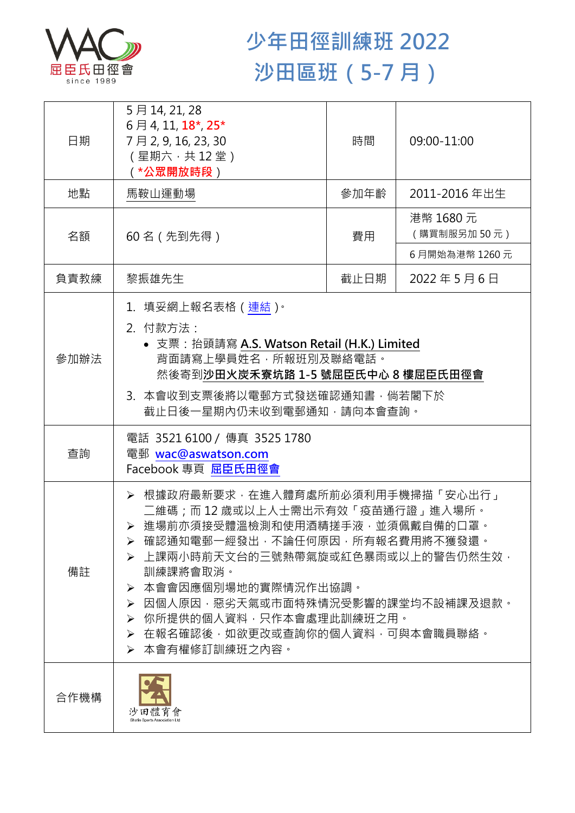

## **少年田徑訓練班 2022 沙田區班(5-7 月)**

| 日期   | 5月14, 21, 28<br>6月4, 11, 18 <sup>*</sup> , 25 <sup>*</sup><br>7月2,9,16,23,30<br>(星期六,共12堂)<br>( *公眾開放時段 )                                                                                                                                                                                                                                                        | 時間   | 09:00-11:00             |
|------|------------------------------------------------------------------------------------------------------------------------------------------------------------------------------------------------------------------------------------------------------------------------------------------------------------------------------------------------------------------|------|-------------------------|
| 地點   | 馬鞍山運動場                                                                                                                                                                                                                                                                                                                                                           | 參加年齡 | 2011-2016年出生            |
| 名額   | 60 名 (先到先得)                                                                                                                                                                                                                                                                                                                                                      | 費用   | 港幣 1680元<br>(購買制服另加50元) |
|      |                                                                                                                                                                                                                                                                                                                                                                  |      | 6月開始為港幣 1260元           |
| 負責教練 | 黎振雄先生                                                                                                                                                                                                                                                                                                                                                            | 截止日期 | 2022年5月6日               |
| 參加辦法 | 1.填妥網上報名表格(連結) <sup>。</sup><br>2. 付款方法:<br>• 支票: 抬頭請寫 A.S. Watson Retail (H.K.) Limited<br>背面請寫上學員姓名,所報班別及聯絡電話。<br>然後寄到沙田火炭禾寮坑路 1-5 號屈臣氏中心 8 樓屈臣氏田徑會<br>3. 本會收到支票後將以電郵方式發送確認通知書,倘若閣下於<br>截止日後一星期內仍未收到電郵通知,請向本會查詢。                                                                                                                                                |      |                         |
| 查詢   | 電話 35216100 / 傳真 3525 1780<br>電郵 wac@aswatson.com<br>Facebook 專頁 屈臣氏田徑會                                                                                                                                                                                                                                                                                          |      |                         |
| 備註   | ▶ 根據政府最新要求,在進入體育處所前必須利用手機掃描「安心出行」<br>二維碼;而 12 歳或以上人士需出示有效「疫苗通行證」進入場所。<br>> 進場前亦須接受體溫檢測和使用酒精搓手液·並須佩戴自備的口罩·<br>- 確認通知電郵一經發出,不論任何原因,所有報名費用將不獲發還。<br>➤<br>▶ 上課兩小時前天文台的三號熱帶氣旋或紅色暴雨或以上的警告仍然生效,<br>訓練課將會取消。<br>本會會因應個別場地的實際情況作出協調。<br>≻<br>因個人原因,惡劣天氣或市面特殊情況受影響的課堂均不設補課及退款。<br>➤<br>▶ 你所提供的個人資料,只作本會處理此訓練班之用。<br>在報名確認後,如欲更改或查詢你的個人資料,可與本會職員聯絡。<br>≻<br>➢ 本會有權修訂訓練班之內容。 |      |                         |
| 合作機構 | 沙田體育會                                                                                                                                                                                                                                                                                                                                                            |      |                         |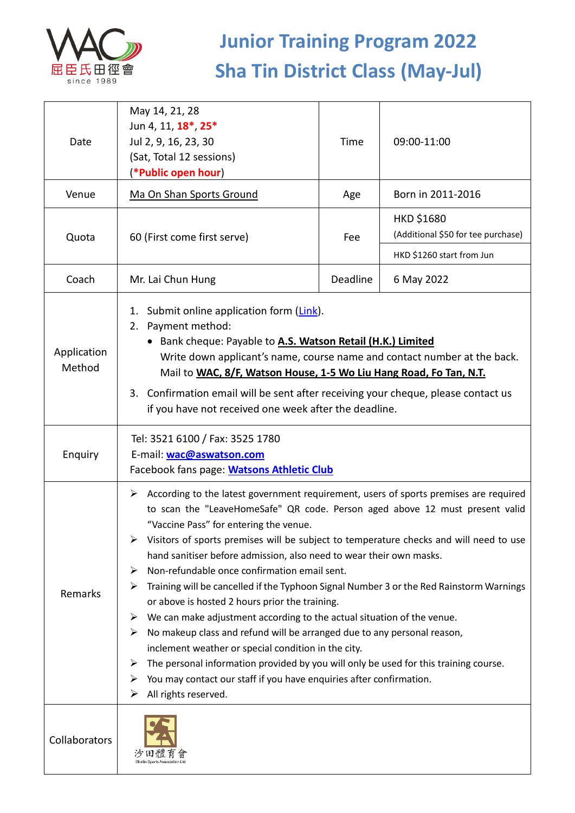

## **Junior Training Program 2022 Sha Tin District Class (May-Jul)**

| Date                  | May 14, 21, 28<br>Jun 4, 11, 18 <sup>*</sup> , 25 <sup>*</sup><br>Jul 2, 9, 16, 23, 30<br>(Sat, Total 12 sessions)<br>(*Public open hour)                                                                                                                                                                                                                                                                                                                                                                                                                                                                                                                                                                                                                                                                                                                                                                                                                                                                                       | Time     | 09:00-11:00                                             |  |
|-----------------------|---------------------------------------------------------------------------------------------------------------------------------------------------------------------------------------------------------------------------------------------------------------------------------------------------------------------------------------------------------------------------------------------------------------------------------------------------------------------------------------------------------------------------------------------------------------------------------------------------------------------------------------------------------------------------------------------------------------------------------------------------------------------------------------------------------------------------------------------------------------------------------------------------------------------------------------------------------------------------------------------------------------------------------|----------|---------------------------------------------------------|--|
| Venue                 | Ma On Shan Sports Ground                                                                                                                                                                                                                                                                                                                                                                                                                                                                                                                                                                                                                                                                                                                                                                                                                                                                                                                                                                                                        | Age      | Born in 2011-2016                                       |  |
| Quota                 | 60 (First come first serve)                                                                                                                                                                                                                                                                                                                                                                                                                                                                                                                                                                                                                                                                                                                                                                                                                                                                                                                                                                                                     | Fee      | <b>HKD \$1680</b><br>(Additional \$50 for tee purchase) |  |
|                       |                                                                                                                                                                                                                                                                                                                                                                                                                                                                                                                                                                                                                                                                                                                                                                                                                                                                                                                                                                                                                                 |          | HKD \$1260 start from Jun                               |  |
| Coach                 | Mr. Lai Chun Hung                                                                                                                                                                                                                                                                                                                                                                                                                                                                                                                                                                                                                                                                                                                                                                                                                                                                                                                                                                                                               | Deadline | 6 May 2022                                              |  |
| Application<br>Method | 1. Submit online application form (Link).<br>Payment method:<br>2.<br>• Bank cheque: Payable to A.S. Watson Retail (H.K.) Limited<br>Write down applicant's name, course name and contact number at the back.<br>Mail to WAC, 8/F, Watson House, 1-5 Wo Liu Hang Road, Fo Tan, N.T.<br>3. Confirmation email will be sent after receiving your cheque, please contact us<br>if you have not received one week after the deadline.                                                                                                                                                                                                                                                                                                                                                                                                                                                                                                                                                                                               |          |                                                         |  |
| Enquiry               | Tel: 3521 6100 / Fax: 3525 1780<br>E-mail: wac@aswatson.com<br>Facebook fans page: Watsons Athletic Club                                                                                                                                                                                                                                                                                                                                                                                                                                                                                                                                                                                                                                                                                                                                                                                                                                                                                                                        |          |                                                         |  |
| Remarks               | $\triangleright$ According to the latest government requirement, users of sports premises are required<br>to scan the "LeaveHomeSafe" QR code. Person aged above 12 must present valid<br>"Vaccine Pass" for entering the venue.<br>Visitors of sports premises will be subject to temperature checks and will need to use<br>➤<br>hand sanitiser before admission, also need to wear their own masks.<br>Non-refundable once confirmation email sent.<br>➤<br>Training will be cancelled if the Typhoon Signal Number 3 or the Red Rainstorm Warnings<br>➤<br>or above is hosted 2 hours prior the training.<br>We can make adjustment according to the actual situation of the venue.<br>➤<br>No makeup class and refund will be arranged due to any personal reason,<br>➤<br>inclement weather or special condition in the city.<br>The personal information provided by you will only be used for this training course.<br>➤<br>You may contact our staff if you have enquiries after confirmation.<br>All rights reserved. |          |                                                         |  |
| Collaborators         |                                                                                                                                                                                                                                                                                                                                                                                                                                                                                                                                                                                                                                                                                                                                                                                                                                                                                                                                                                                                                                 |          |                                                         |  |